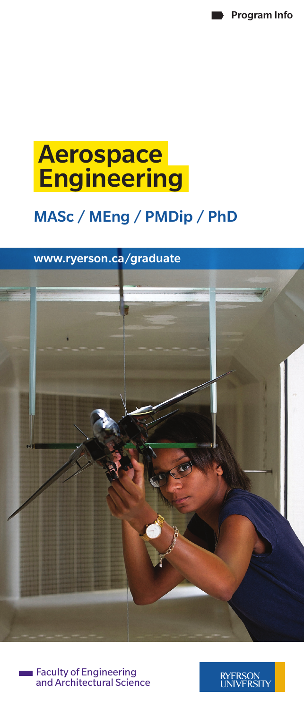Program Info

# Aerospace **Engineering**

## MASc / MEng / PMDip / PhD

### <www.ryerson.ca/graduate>





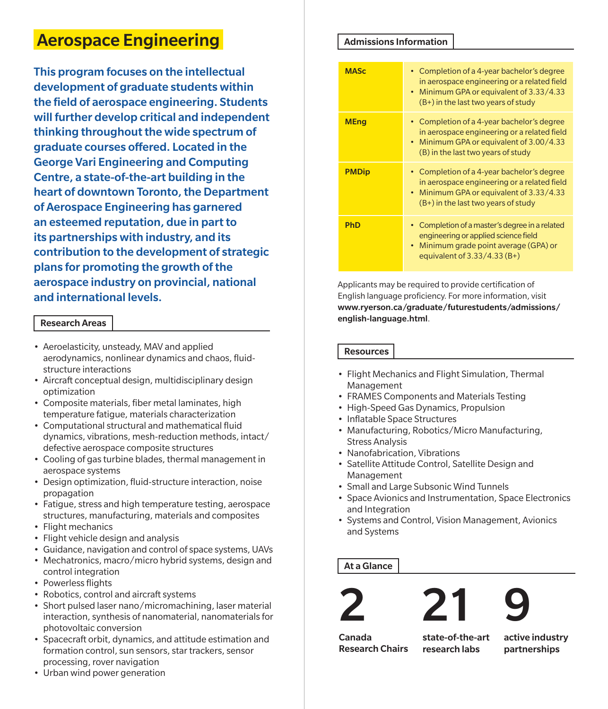### Aerospace Engineering

This program focuses on the intellectual development of graduate students within the field of aerospace engineering. Students will further develop critical and independent thinking throughout the wide spectrum of graduate courses offered. Located in the George Vari Engineering and Computing Centre, a state-of-the-art building in the heart of downtown Toronto, the Department of Aerospace Engineering has garnered an esteemed reputation, due in part to its partnerships with industry, and its contribution to the development of strategic plans for promoting the growth of the aerospace industry on provincial, national and international levels.

#### Research Areas

- Aeroelasticity, unsteady, MAV and applied aerodynamics, nonlinear dynamics and chaos, fluidstructure interactions
- Aircraft conceptual design, multidisciplinary design optimization
- Composite materials, fiber metal laminates, high temperature fatigue, materials characterization
- Computational structural and mathematical fluid dynamics, vibrations, mesh-reduction methods, intact/ defective aerospace composite structures
- Cooling of gas turbine blades, thermal management in aerospace systems
- Design optimization, fluid-structure interaction, noise propagation
- Fatigue, stress and high temperature testing, aerospace structures, manufacturing, materials and composites
- Flight mechanics
- Flight vehicle design and analysis
- Guidance, navigation and control of space systems, UAVs
- Mechatronics, macro/micro hybrid systems, design and control integration
- Powerless flights
- Robotics, control and aircraft systems
- Short pulsed laser nano/micromachining, laser material interaction, synthesis of nanomaterial, nanomaterials for photovoltaic conversion
- Spacecraft orbit, dynamics, and attitude estimation and formation control, sun sensors, star trackers, sensor processing, rover navigation
- Urban wind power generation

#### Admissions Information

| <b>MASc</b>  | • Completion of a 4-year bachelor's degree<br>in aerospace engineering or a related field<br>Minimum GPA or equivalent of 3.33/4.33<br>$\bullet$<br>(B+) in the last two years of study |
|--------------|-----------------------------------------------------------------------------------------------------------------------------------------------------------------------------------------|
| <b>MEng</b>  | • Completion of a 4-year bachelor's degree<br>in aerospace engineering or a related field<br>Minimum GPA or equivalent of 3.00/4.33<br>(B) in the last two years of study               |
| <b>PMDip</b> | • Completion of a 4-year bachelor's degree<br>in aerospace engineering or a related field<br>• Minimum GPA or equivalent of 3.33/4.33<br>$(B+)$ in the last two years of study          |
| <b>PhD</b>   | Completion of a master's degree in a related<br>engineering or applied science field<br>• Minimum grade point average (GPA) or<br>equivalent of $3.33/4.33(B+)$                         |

Applicants may be required to provide certification of English language proficiency. For more information, visit [www.ryerson.ca/graduate/futurestudents/admissions/](www.ryerson.ca/graduate/futurestudents/admissions/english-language.html) [english-language.html](www.ryerson.ca/graduate/futurestudents/admissions/english-language.html).

**Resources** 

- Flight Mechanics and Flight Simulation, Thermal Management
- FRAMES Components and Materials Testing
- High-Speed Gas Dynamics, Propulsion
- Inflatable Space Structures
- Manufacturing, Robotics/Micro Manufacturing, Stress Analysis
- Nanofabrication, Vibrations
- Satellite Attitude Control, Satellite Design and Management
- Small and Large Subsonic Wind Tunnels
- Space Avionics and Instrumentation, Space Electronics and Integration
- Systems and Control, Vision Management, Avionics and Systems

#### At a Glance







Canada Research Chairs

state-of-the-art research labs

active industry partnerships